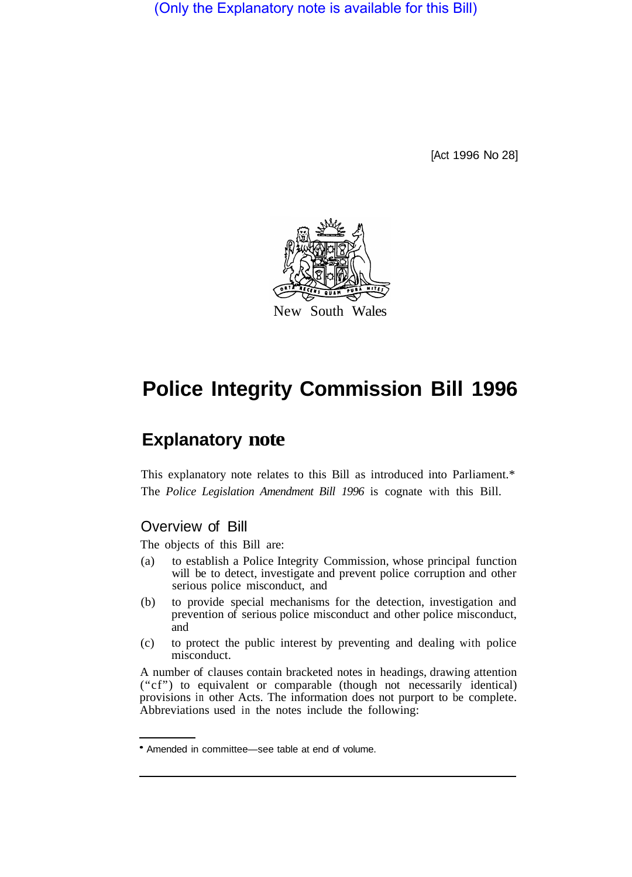(Only the Explanatory note is available for this Bill)

[Act 1996 No 28]



# **Police Integrity Commission Bill 1996**

## **Explanatory note**

This explanatory note relates to this Bill as introduced into Parliament.\* The *Police Legislation Amendment Bill 1996* is cognate with this Bill.

## Overview of Bill

The objects of this Bill are:

- (a) to establish a Police Integrity Commission, whose principal function will be to detect, investigate and prevent police corruption and other serious police misconduct, and
- (b) to provide special mechanisms for the detection, investigation and prevention of serious police misconduct and other police misconduct, and
- (c) to protect the public interest by preventing and dealing with police misconduct.

A number of clauses contain bracketed notes in headings, drawing attention ("cf") to equivalent or comparable (though not necessarily identical) provisions in other Acts. The information does not purport to be complete. Abbreviations used in the notes include the following:

Amended in committee—see table at end of volume.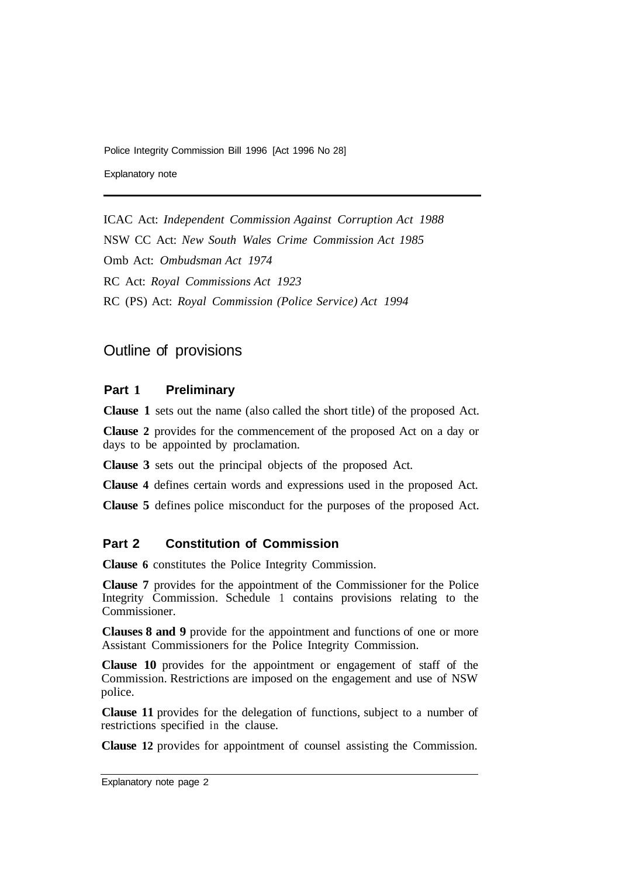Explanatory note

ICAC Act: *Independent Commission Against Corruption Act 1988*  NSW CC Act: *New South Wales Crime Commission Act 1985*  Omb Act: *Ombudsman Act 1974*  RC Act: *Royal Commissions Act 1923*  RC (PS) Act: *Royal Commission (Police Service) Act 1994* 

## Outline of provisions

#### **Part 1 Preliminary**

**Clause 1** sets out the name (also called the short title) of the proposed Act.

**Clause 2** provides for the commencement of the proposed Act on a day or days to be appointed by proclamation.

**Clause 3** sets out the principal objects of the proposed Act.

**Clause 4** defines certain words and expressions used in the proposed Act.

**Clause 5** defines police misconduct for the purposes of the proposed Act.

## **Part 2 Constitution of Commission**

**Clause 6** constitutes the Police Integrity Commission.

**Clause 7** provides for the appointment of the Commissioner for the Police Integrity Commission. Schedule 1 contains provisions relating to the Commissioner.

**Clauses 8 and 9** provide for the appointment and functions of one or more Assistant Commissioners for the Police Integrity Commission.

**Clause 10** provides for the appointment or engagement of staff of the Commission. Restrictions are imposed on the engagement and use of NSW police.

**Clause 11** provides for the delegation of functions, subject to a number of restrictions specified in the clause.

**Clause 12** provides for appointment of counsel assisting the Commission.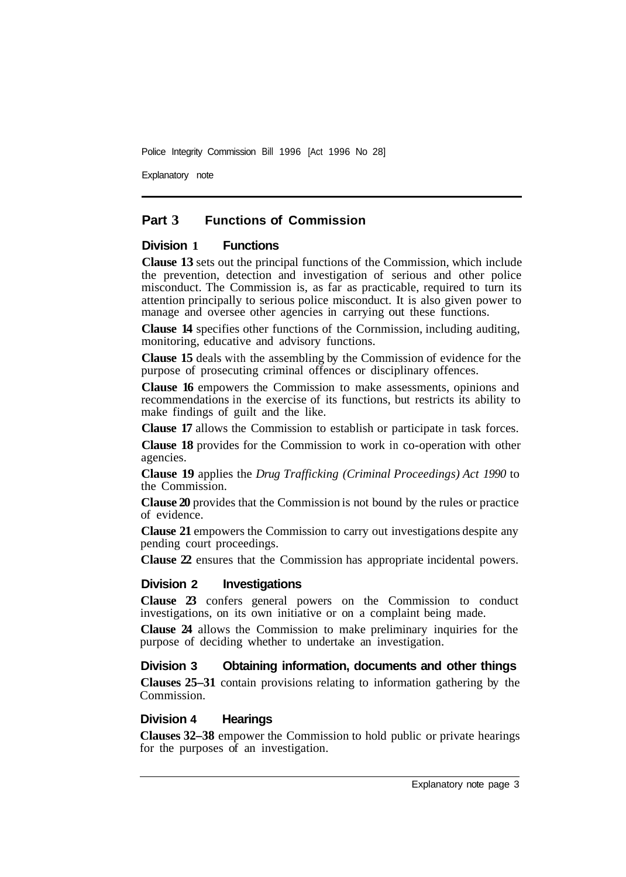Explanatory note

## **Part 3 Functions of Commission**

#### **Division 1 Functions**

**Clause 13** sets out the principal functions of the Commission, which include the prevention, detection and investigation of serious and other police misconduct. The Commission is, as far as practicable, required to turn its attention principally to serious police misconduct. It is also given power to manage and oversee other agencies in carrying out these functions.

**Clause 14** specifies other functions of the Cornmission, including auditing, monitoring, educative and advisory functions.

**Clause 15** deals with the assembling by the Commission of evidence for the purpose of prosecuting criminal offences or disciplinary offences.

**Clause 16** empowers the Commission to make assessments, opinions and recommendations in the exercise of its functions, but restricts its ability to make findings of guilt and the like.

**Clause 17** allows the Commission to establish or participate in task forces.

**Clause 18** provides for the Commission to work in co-operation with other agencies.

**Clause 19** applies the *Drug Trafficking (Criminal Proceedings) Act 1990* to the Commission.

**Clause 20** provides that the Commission is not bound by the rules or practice of evidence.

**Clause 21** empowers the Commission to carry out investigations despite any pending court proceedings.

**Clause 22** ensures that the Commission has appropriate incidental powers.

#### **Division 2 Investigations**

**Clause 23** confers general powers on the Commission to conduct investigations, on its own initiative or on a complaint being made.

**Clause 24** allows the Commission to make preliminary inquiries for the purpose of deciding whether to undertake an investigation.

#### **Division 3 Obtaining information, documents and other things**

**Clauses 25–31** contain provisions relating to information gathering by the Commission.

#### **Division 4 Hearings**

**Clauses 32–38** empower the Commission to hold public or private hearings for the purposes of an investigation.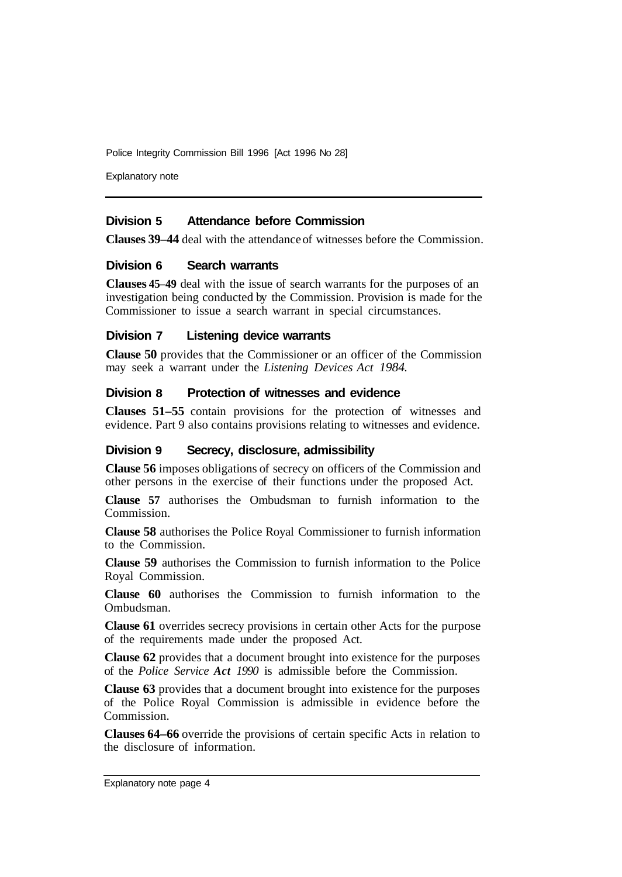Explanatory note

#### **Division 5 Attendance before Commission**

**Clauses 39–44** deal with the attendance of witnesses before the Commission.

#### **Division 6 Search warrants**

**Clauses 45–49** deal with the issue of search warrants for the purposes of an investigation being conducted by the Commission. Provision is made for the Commissioner to issue a search warrant in special circumstances.

#### **Division 7 Listening device warrants**

**Clause 50** provides that the Commissioner or an officer of the Commission may seek a warrant under the *Listening Devices Act 1984.* 

#### **Division 8 Protection of witnesses and evidence**

**Clauses 51–55** contain provisions for the protection of witnesses and evidence. Part 9 also contains provisions relating to witnesses and evidence.

#### **Division 9 Secrecy, disclosure, admissibility**

**Clause 56** imposes obligations of secrecy on officers of the Commission and other persons in the exercise of their functions under the proposed Act.

**Clause 57** authorises the Ombudsman to furnish information to the Commission.

**Clause 58** authorises the Police Royal Commissioner to furnish information to the Commission.

**Clause 59** authorises the Commission to furnish information to the Police Royal Commission.

**Clause 60** authorises the Commission to furnish information to the Ombudsman.

**Clause 61** overrides secrecy provisions in certain other Acts for the purpose of the requirements made under the proposed Act.

**Clause 62** provides that a document brought into existence for the purposes of the *Police Service Act 1990* is admissible before the Commission.

**Clause 63** provides that a document brought into existence for the purposes of the Police Royal Commission is admissible in evidence before the Commission.

**Clauses 64–66** override the provisions of certain specific Acts in relation to the disclosure of information.

Explanatory note page 4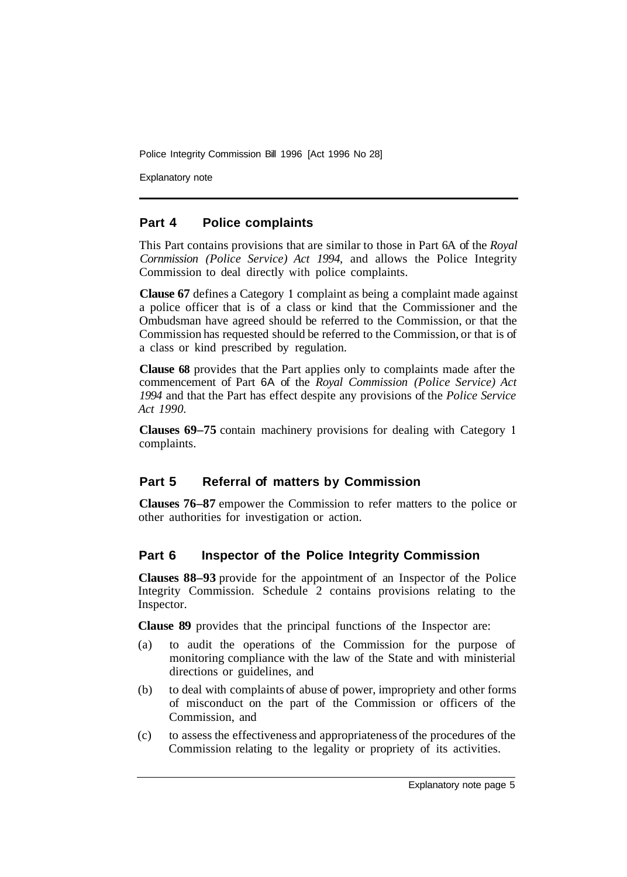Explanatory note

## **Part 4 Police complaints**

This Part contains provisions that are similar to those in Part 6A of the *Royal Cornmission (Police Service) Act 1994,* and allows the Police Integrity Commission to deal directly with police complaints.

**Clause 67** defines a Category **1** complaint as being a complaint made against a police officer that is of a class or kind that the Commissioner and the Ombudsman have agreed should be referred to the Commission, or that the Commission has requested should be referred to the Commission, or that is of a class or kind prescribed by regulation.

**Clause 68** provides that the Part applies only to complaints made after the commencement of Part 6A of the *Royal Commission (Police Service) Act 1994* and that the Part has effect despite any provisions of the *Police Service Act 1990.* 

**Clauses 69–75** contain machinery provisions for dealing with Category **<sup>1</sup>** complaints.

## **Part 5 Referral of matters by Commission**

**Clauses 76–87** empower the Commission to refer matters to the police or other authorities for investigation or action.

## **Part 6 Inspector of the Police Integrity Commission**

**Clauses 88–93** provide for the appointment of an Inspector of the Police Integrity Commission. Schedule 2 contains provisions relating to the Inspector.

**Clause 89** provides that the principal functions of the Inspector are:

- (a) to audit the operations of the Commission for the purpose of monitoring compliance with the law of the State and with ministerial directions or guidelines, and
- (b) to deal with complaints of abuse of power, impropriety and other forms of misconduct on the part of the Commission or officers of the Commission, and
- (c) to assess the effectiveness and appropriateness of the procedures of the Commission relating to the legality or propriety of its activities.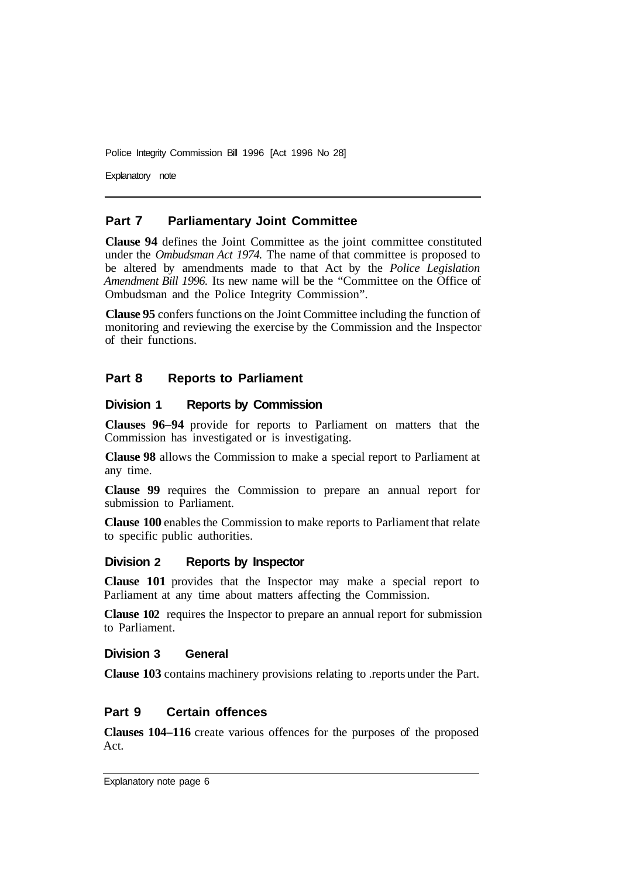Explanatory note

### **Part 7 Parliamentary Joint Committee**

**Clause 94** defines the Joint Committee as the joint committee constituted under the *Ombudsman Act 1974.* The name of that committee is proposed to be altered by amendments made to that Act by the *Police Legislation Amendment Bill 1996.* Its new name will be the "Committee on the Office of Ombudsman and the Police Integrity Commission".

**Clause 95** confers functions on the Joint Committee including the function of monitoring and reviewing the exercise by the Commission and the Inspector of their functions.

## **Part 8 Reports to Parliament**

#### **Division 1 Reports by Commission**

**Clauses 96–94** provide for reports to Parliament on matters that the Commission has investigated or is investigating.

**Clause 98** allows the Commission to make a special report to Parliament at any time.

**Clause 99** requires the Commission to prepare an annual report for submission to Parliament.

**Clause 100** enables the Commission to make reports to Parliament that relate to specific public authorities.

#### **Division 2 Reports by Inspector**

**Clause 101** provides that the Inspector may make a special report to Parliament at any time about matters affecting the Commission.

**Clause 102** requires the Inspector to prepare an annual report for submission to Parliament.

#### **Division 3 General**

**Clause 103** contains machinery provisions relating to .reports under the Part.

## **Part 9 Certain offences**

**Clauses 104–116** create various offences for the purposes of the proposed Act.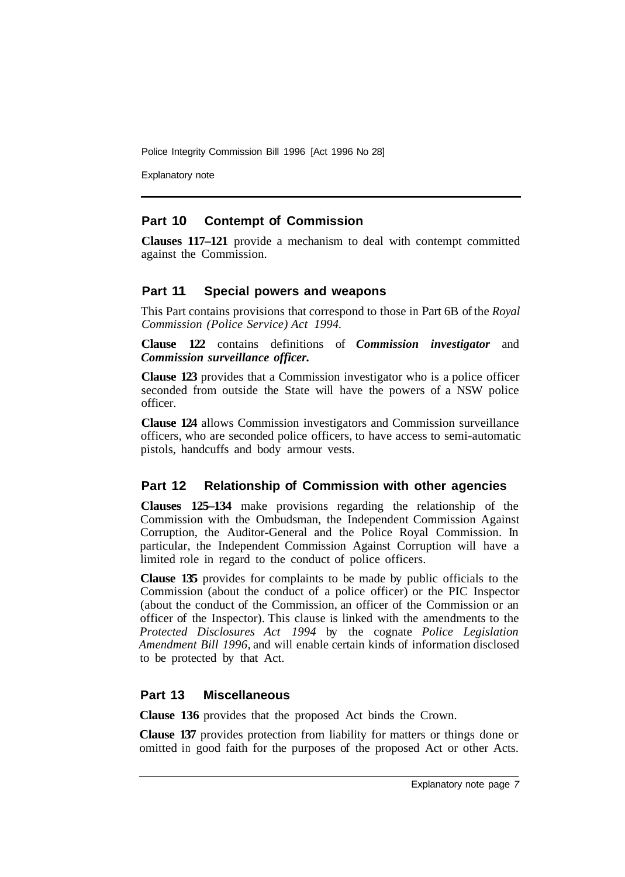Explanatory note

## **Part 10 Contempt of Commission**

**Clauses 117–121** provide a mechanism to deal with contempt committed against the Commission.

## **Part 11 Special powers and weapons**

This Part contains provisions that correspond to those in Part 6B of the *Royal Commission (Police Service) Act 1994.* 

**Clause 122** contains definitions of *Commission investigator* and *Commission surveillance officer.* 

**Clause 123** provides that a Commission investigator who is a police officer seconded from outside the State will have the powers of a NSW police officer.

**Clause 124** allows Commission investigators and Commission surveillance officers, who are seconded police officers, to have access to semi-automatic pistols, handcuffs and body armour vests.

## **Part 12 Relationship of Commission with other agencies**

**Clauses 125–134** make provisions regarding the relationship of the Commission with the Ombudsman, the Independent Commission Against Corruption, the Auditor-General and the Police Royal Commission. In particular, the Independent Commission Against Corruption will have a limited role in regard to the conduct of police officers.

**Clause 135** provides for complaints to be made by public officials to the Commission (about the conduct of a police officer) or the PIC Inspector (about the conduct of the Commission, an officer of the Commission or an officer of the Inspector). This clause is linked with the amendments to the *Protected Disclosures Act 1994* by the cognate *Police Legislation Amendment Bill 1996,* and will enable certain kinds of information disclosed to be protected by that Act.

## **Part 13 Miscellaneous**

**Clause 136** provides that the proposed Act binds the Crown.

**Clause 137** provides protection from liability for matters or things done or omitted in good faith for the purposes of the proposed Act or other Acts.